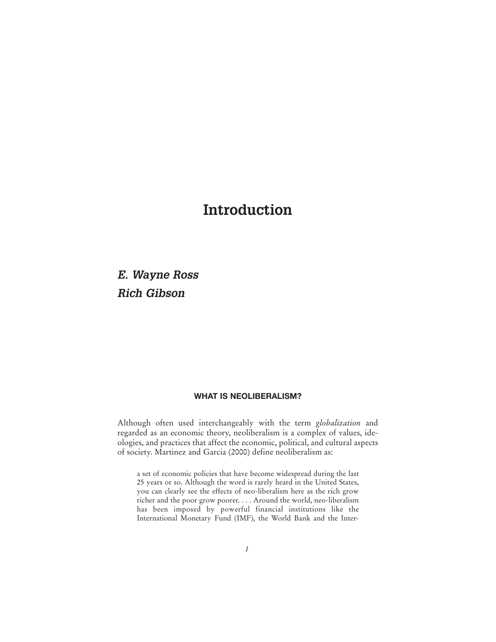# **Introduction**

*E. Wayne Ross Rich Gibson*

## **WHAT IS NEOLIBERALISM?**

Although often used interchangeably with the term *globalization* and regarded as an economic theory, neoliberalism is a complex of values, ideologies, and practices that affect the economic, political, and cultural aspects of society. Martinez and Garcia (2000) define neoliberalism as:

a set of economic policies that have become widespread during the last 25 years or so. Although the word is rarely heard in the United States, you can clearly see the effects of neo-liberalism here as the rich grow richer and the poor grow poorer. . . . Around the world, neo-liberalism has been imposed by powerful financial institutions like the International Monetary Fund (IMF), the World Bank and the Inter-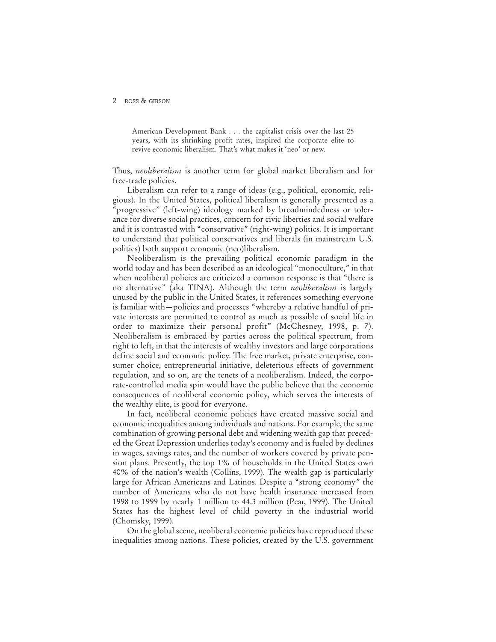American Development Bank . . . the capitalist crisis over the last 25 years, with its shrinking profit rates, inspired the corporate elite to revive economic liberalism. That's what makes it 'neo' or new.

Thus, *neoliberalism* is another term for global market liberalism and for free-trade policies.

Liberalism can refer to a range of ideas (e.g., political, economic, religious). In the United States, political liberalism is generally presented as a "progressive" (left-wing) ideology marked by broadmindedness or tolerance for diverse social practices, concern for civic liberties and social welfare and it is contrasted with "conservative" (right-wing) politics. It is important to understand that political conservatives and liberals (in mainstream U.S. politics) both support economic (neo)liberalism.

Neoliberalism is the prevailing political economic paradigm in the world today and has been described as an ideological "monoculture," in that when neoliberal policies are criticized a common response is that "there is no alternative" (aka TINA). Although the term *neoliberalism* is largely unused by the public in the United States, it references something everyone is familiar with—policies and processes "whereby a relative handful of private interests are permitted to control as much as possible of social life in order to maximize their personal profit" (McChesney, 1998, p. 7). Neoliberalism is embraced by parties across the political spectrum, from right to left, in that the interests of wealthy investors and large corporations define social and economic policy. The free market, private enterprise, consumer choice, entrepreneurial initiative, deleterious effects of government regulation, and so on, are the tenets of a neoliberalism. Indeed, the corporate-controlled media spin would have the public believe that the economic consequences of neoliberal economic policy, which serves the interests of the wealthy elite, is good for everyone.

In fact, neoliberal economic policies have created massive social and economic inequalities among individuals and nations. For example, the same combination of growing personal debt and widening wealth gap that preceded the Great Depression underlies today's economy and is fueled by declines in wages, savings rates, and the number of workers covered by private pension plans. Presently, the top 1% of households in the United States own 40% of the nation's wealth (Collins, 1999). The wealth gap is particularly large for African Americans and Latinos. Despite a "strong economy" the number of Americans who do not have health insurance increased from 1998 to 1999 by nearly 1 million to 44.3 million (Pear, 1999). The United States has the highest level of child poverty in the industrial world (Chomsky, 1999).

On the global scene, neoliberal economic policies have reproduced these inequalities among nations. These policies, created by the U.S. government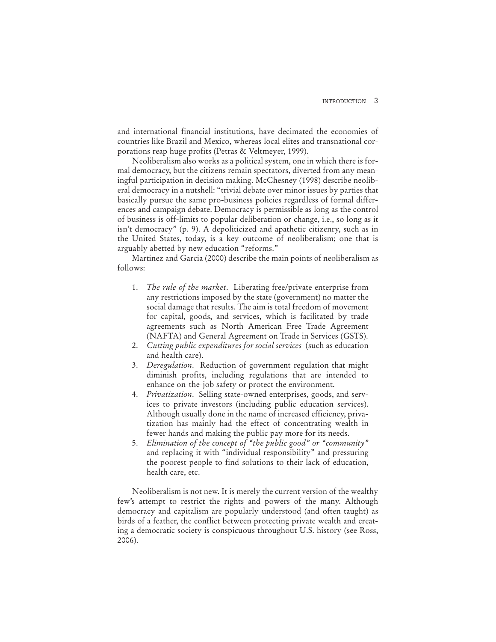and international financial institutions, have decimated the economies of countries like Brazil and Mexico, whereas local elites and transnational corporations reap huge profits (Petras & Veltmeyer, 1999).

Neoliberalism also works as a political system, one in which there is formal democracy, but the citizens remain spectators, diverted from any meaningful participation in decision making. McChesney (1998) describe neoliberal democracy in a nutshell: "trivial debate over minor issues by parties that basically pursue the same pro-business policies regardless of formal differences and campaign debate. Democracy is permissible as long as the control of business is off-limits to popular deliberation or change, i.e., so long as it isn't democracy" (p. 9). A depoliticized and apathetic citizenry, such as in the United States, today, is a key outcome of neoliberalism; one that is arguably abetted by new education "reforms."

Martinez and Garcia (2000) describe the main points of neoliberalism as follows:

- 1. *The rule of the market*. Liberating free/private enterprise from any restrictions imposed by the state (government) no matter the social damage that results. The aim is total freedom of movement for capital, goods, and services, which is facilitated by trade agreements such as North American Free Trade Agreement (NAFTA) and General Agreement on Trade in Services (GSTS).
- 2. *Cutting public expenditures for social services* (such as education and health care).
- 3. *Deregulation*. Reduction of government regulation that might diminish profits, including regulations that are intended to enhance on-the-job safety or protect the environment.
- 4. *Privatization*. Selling state-owned enterprises, goods, and services to private investors (including public education services). Although usually done in the name of increased efficiency, privatization has mainly had the effect of concentrating wealth in fewer hands and making the public pay more for its needs.
- 5. *Elimination of the concept of "the public good" or "community"* and replacing it with "individual responsibility" and pressuring the poorest people to find solutions to their lack of education, health care, etc.

Neoliberalism is not new. It is merely the current version of the wealthy few's attempt to restrict the rights and powers of the many. Although democracy and capitalism are popularly understood (and often taught) as birds of a feather, the conflict between protecting private wealth and creating a democratic society is conspicuous throughout U.S. history (see Ross, 2006).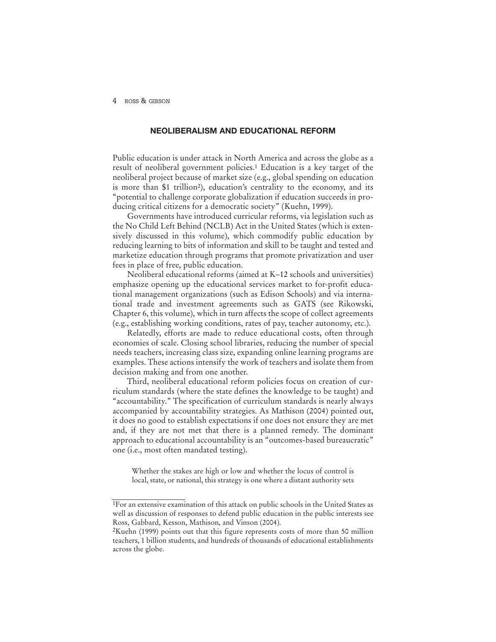## **NEOLIBERALISM AND EDUCATIONAL REFORM**

Public education is under attack in North America and across the globe as a result of neoliberal government policies.1 Education is a key target of the neoliberal project because of market size (e.g., global spending on education is more than \$1 trillion2), education's centrality to the economy, and its "potential to challenge corporate globalization if education succeeds in producing critical citizens for a democratic society" (Kuehn, 1999).

Governments have introduced curricular reforms, via legislation such as the No Child Left Behind (NCLB) Act in the United States (which is extensively discussed in this volume), which commodify public education by reducing learning to bits of information and skill to be taught and tested and marketize education through programs that promote privatization and user fees in place of free, public education.

Neoliberal educational reforms (aimed at K–12 schools and universities) emphasize opening up the educational services market to for-profit educational management organizations (such as Edison Schools) and via international trade and investment agreements such as GATS (see Rikowski, Chapter 6, this volume), which in turn affects the scope of collect agreements (e.g., establishing working conditions, rates of pay, teacher autonomy, etc.).

Relatedly, efforts are made to reduce educational costs, often through economies of scale. Closing school libraries, reducing the number of special needs teachers, increasing class size, expanding online learning programs are examples. These actions intensify the work of teachers and isolate them from decision making and from one another.

Third, neoliberal educational reform policies focus on creation of curriculum standards (where the state defines the knowledge to be taught) and "accountability." The specification of curriculum standards is nearly always accompanied by accountability strategies. As Mathison (2004) pointed out, it does no good to establish expectations if one does not ensure they are met and, if they are not met that there is a planned remedy. The dominant approach to educational accountability is an "outcomes-based bureaucratic" one (i.e., most often mandated testing).

Whether the stakes are high or low and whether the locus of control is local, state, or national, this strategy is one where a distant authority sets

<sup>1</sup>For an extensive examination of this attack on public schools in the United States as well as discussion of responses to defend public education in the public interests see Ross, Gabbard, Kesson, Mathison, and Vinson (2004).

<sup>2</sup>Kuehn (1999) points out that this figure represents costs of more than 50 million teachers, 1 billion students, and hundreds of thousands of educational establishments across the globe.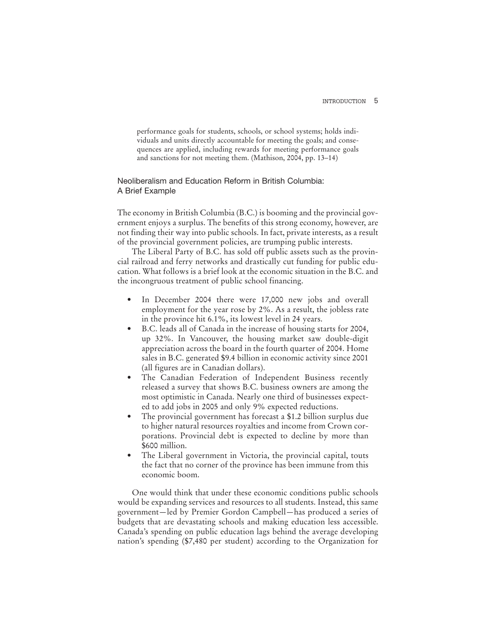performance goals for students, schools, or school systems; holds individuals and units directly accountable for meeting the goals; and consequences are applied, including rewards for meeting performance goals and sanctions for not meeting them. (Mathison, 2004, pp. 13–14)

## Neoliberalism and Education Reform in British Columbia: A Brief Example

The economy in British Columbia (B.C.) is booming and the provincial government enjoys a surplus. The benefits of this strong economy, however, are not finding their way into public schools. In fact, private interests, as a result of the provincial government policies, are trumping public interests.

The Liberal Party of B.C. has sold off public assets such as the provincial railroad and ferry networks and drastically cut funding for public education. What follows is a brief look at the economic situation in the B.C. and the incongruous treatment of public school financing.

- In December 2004 there were 17,000 new jobs and overall employment for the year rose by 2%. As a result, the jobless rate in the province hit 6.1%, its lowest level in 24 years.
- B.C. leads all of Canada in the increase of housing starts for 2004, up 32%. In Vancouver, the housing market saw double-digit appreciation across the board in the fourth quarter of 2004. Home sales in B.C. generated \$9.4 billion in economic activity since 2001 (all figures are in Canadian dollars).
- The Canadian Federation of Independent Business recently released a survey that shows B.C. business owners are among the most optimistic in Canada. Nearly one third of businesses expected to add jobs in 2005 and only 9% expected reductions.
- The provincial government has forecast a \$1.2 billion surplus due to higher natural resources royalties and income from Crown corporations. Provincial debt is expected to decline by more than \$600 million.
- The Liberal government in Victoria, the provincial capital, touts the fact that no corner of the province has been immune from this economic boom.

One would think that under these economic conditions public schools would be expanding services and resources to all students. Instead, this same government—led by Premier Gordon Campbell—has produced a series of budgets that are devastating schools and making education less accessible. Canada's spending on public education lags behind the average developing nation's spending (\$7,480 per student) according to the Organization for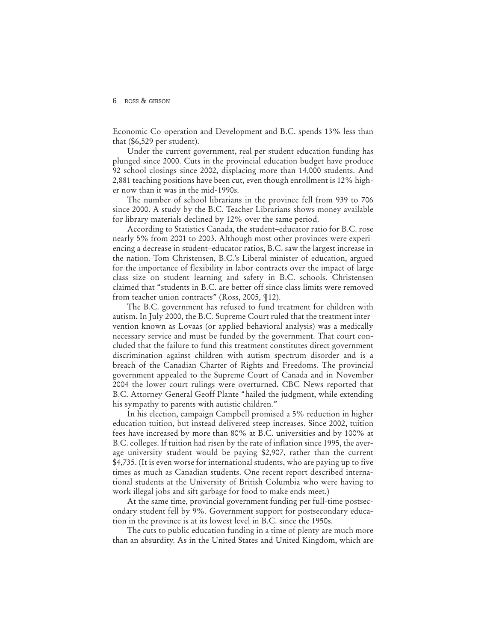Economic Co-operation and Development and B.C. spends 13% less than that (\$6,529 per student).

Under the current government, real per student education funding has plunged since 2000. Cuts in the provincial education budget have produce 92 school closings since 2002, displacing more than 14,000 students. And 2,881 teaching positions have been cut, even though enrollment is 12% higher now than it was in the mid-1990s.

The number of school librarians in the province fell from 939 to 706 since 2000. A study by the B.C. Teacher Librarians shows money available for library materials declined by 12% over the same period.

According to Statistics Canada, the student–educator ratio for B.C. rose nearly 5% from 2001 to 2003. Although most other provinces were experiencing a decrease in student–educator ratios, B.C. saw the largest increase in the nation. Tom Christensen, B.C.'s Liberal minister of education, argued for the importance of flexibility in labor contracts over the impact of large class size on student learning and safety in B.C. schools. Christensen claimed that "students in B.C. are better off since class limits were removed from teacher union contracts" (Ross, 2005, ¶12).

The B.C. government has refused to fund treatment for children with autism. In July 2000, the B.C. Supreme Court ruled that the treatment intervention known as Lovaas (or applied behavioral analysis) was a medically necessary service and must be funded by the government. That court concluded that the failure to fund this treatment constitutes direct government discrimination against children with autism spectrum disorder and is a breach of the Canadian Charter of Rights and Freedoms. The provincial government appealed to the Supreme Court of Canada and in November 2004 the lower court rulings were overturned. CBC News reported that B.C. Attorney General Geoff Plante "hailed the judgment, while extending his sympathy to parents with autistic children."

In his election, campaign Campbell promised a 5% reduction in higher education tuition, but instead delivered steep increases. Since 2002, tuition fees have increased by more than 80% at B.C. universities and by 100% at B.C. colleges. If tuition had risen by the rate of inflation since 1995, the average university student would be paying \$2,907, rather than the current \$4,735. (It is even worse for international students, who are paying up to five times as much as Canadian students. One recent report described international students at the University of British Columbia who were having to work illegal jobs and sift garbage for food to make ends meet.)

At the same time, provincial government funding per full-time postsecondary student fell by 9%. Government support for postsecondary education in the province is at its lowest level in B.C. since the 1950s.

The cuts to public education funding in a time of plenty are much more than an absurdity. As in the United States and United Kingdom, which are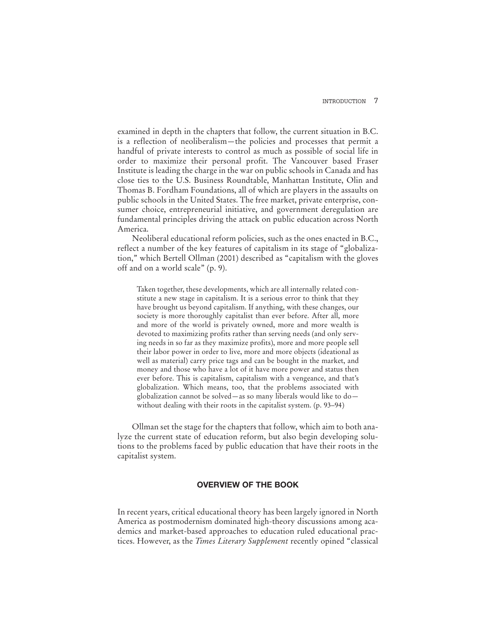examined in depth in the chapters that follow, the current situation in B.C. is a reflection of neoliberalism—the policies and processes that permit a handful of private interests to control as much as possible of social life in order to maximize their personal profit. The Vancouver based Fraser Institute is leading the charge in the war on public schools in Canada and has close ties to the U.S. Business Roundtable, Manhattan Institute, Olin and Thomas B. Fordham Foundations, all of which are players in the assaults on public schools in the United States. The free market, private enterprise, consumer choice, entrepreneurial initiative, and government deregulation are fundamental principles driving the attack on public education across North America.

Neoliberal educational reform policies, such as the ones enacted in B.C., reflect a number of the key features of capitalism in its stage of "globalization," which Bertell Ollman (2001) described as "capitalism with the gloves off and on a world scale" (p. 9).

Taken together, these developments, which are all internally related constitute a new stage in capitalism. It is a serious error to think that they have brought us beyond capitalism. If anything, with these changes, our society is more thoroughly capitalist than ever before. After all, more and more of the world is privately owned, more and more wealth is devoted to maximizing profits rather than serving needs (and only serving needs in so far as they maximize profits), more and more people sell their labor power in order to live, more and more objects (ideational as well as material) carry price tags and can be bought in the market, and money and those who have a lot of it have more power and status then ever before. This is capitalism, capitalism with a vengeance, and that's globalization. Which means, too, that the problems associated with globalization cannot be solved—as so many liberals would like to do without dealing with their roots in the capitalist system. (p. 93–94)

Ollman set the stage for the chapters that follow, which aim to both analyze the current state of education reform, but also begin developing solutions to the problems faced by public education that have their roots in the capitalist system.

## **OVERVIEW OF THE BOOK**

In recent years, critical educational theory has been largely ignored in North America as postmodernism dominated high-theory discussions among academics and market-based approaches to education ruled educational practices. However, as the *Times Literary Supplement* recently opined "classical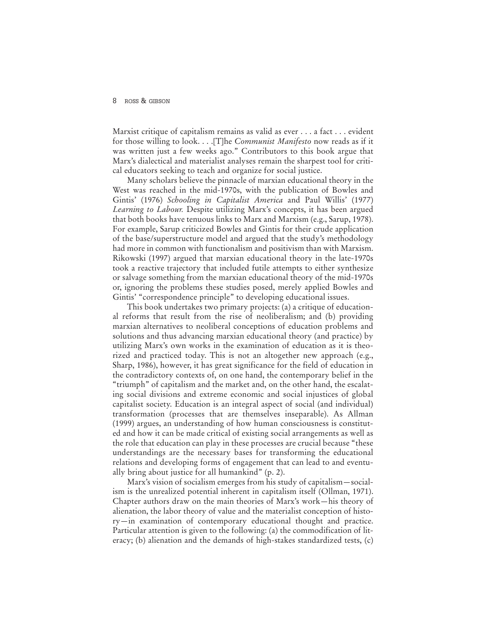Marxist critique of capitalism remains as valid as ever . . . a fact . . . evident for those willing to look. . . .[T]he *Communist Manifesto* now reads as if it was written just a few weeks ago." Contributors to this book argue that Marx's dialectical and materialist analyses remain the sharpest tool for critical educators seeking to teach and organize for social justice.

Many scholars believe the pinnacle of marxian educational theory in the West was reached in the mid-1970s, with the publication of Bowles and Gintis' (1976) *Schooling in Capitalist America* and Paul Willis' (1977) *Learning to Labour.* Despite utilizing Marx's concepts, it has been argued that both books have tenuous links to Marx and Marxism (e.g., Sarup, 1978). For example, Sarup criticized Bowles and Gintis for their crude application of the base/superstructure model and argued that the study's methodology had more in common with functionalism and positivism than with Marxism. Rikowski (1997) argued that marxian educational theory in the late-1970s took a reactive trajectory that included futile attempts to either synthesize or salvage something from the marxian educational theory of the mid-1970s or, ignoring the problems these studies posed, merely applied Bowles and Gintis' "correspondence principle" to developing educational issues.

This book undertakes two primary projects: (a) a critique of educational reforms that result from the rise of neoliberalism; and (b) providing marxian alternatives to neoliberal conceptions of education problems and solutions and thus advancing marxian educational theory (and practice) by utilizing Marx's own works in the examination of education as it is theorized and practiced today. This is not an altogether new approach (e.g., Sharp, 1986), however, it has great significance for the field of education in the contradictory contexts of, on one hand, the contemporary belief in the "triumph" of capitalism and the market and, on the other hand, the escalating social divisions and extreme economic and social injustices of global capitalist society. Education is an integral aspect of social (and individual) transformation (processes that are themselves inseparable). As Allman (1999) argues, an understanding of how human consciousness is constituted and how it can be made critical of existing social arrangements as well as the role that education can play in these processes are crucial because "these understandings are the necessary bases for transforming the educational relations and developing forms of engagement that can lead to and eventually bring about justice for all humankind" (p. 2).

Marx's vision of socialism emerges from his study of capitalism—socialism is the unrealized potential inherent in capitalism itself (Ollman, 1971). Chapter authors draw on the main theories of Marx's work—his theory of alienation, the labor theory of value and the materialist conception of history—in examination of contemporary educational thought and practice. Particular attention is given to the following: (a) the commodification of literacy; (b) alienation and the demands of high-stakes standardized tests, (c)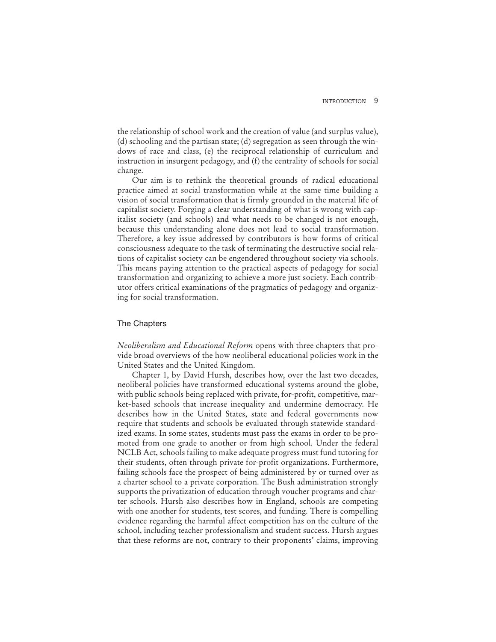the relationship of school work and the creation of value (and surplus value), (d) schooling and the partisan state; (d) segregation as seen through the windows of race and class, (e) the reciprocal relationship of curriculum and instruction in insurgent pedagogy, and (f) the centrality of schools for social change.

Our aim is to rethink the theoretical grounds of radical educational practice aimed at social transformation while at the same time building a vision of social transformation that is firmly grounded in the material life of capitalist society. Forging a clear understanding of what is wrong with capitalist society (and schools) and what needs to be changed is not enough, because this understanding alone does not lead to social transformation. Therefore, a key issue addressed by contributors is how forms of critical consciousness adequate to the task of terminating the destructive social relations of capitalist society can be engendered throughout society via schools. This means paying attention to the practical aspects of pedagogy for social transformation and organizing to achieve a more just society. Each contributor offers critical examinations of the pragmatics of pedagogy and organizing for social transformation.

### The Chapters

*Neoliberalism and Educational Reform* opens with three chapters that provide broad overviews of the how neoliberal educational policies work in the United States and the United Kingdom.

Chapter 1, by David Hursh, describes how, over the last two decades, neoliberal policies have transformed educational systems around the globe, with public schools being replaced with private, for-profit, competitive, market-based schools that increase inequality and undermine democracy. He describes how in the United States, state and federal governments now require that students and schools be evaluated through statewide standardized exams. In some states, students must pass the exams in order to be promoted from one grade to another or from high school. Under the federal NCLB Act, schools failing to make adequate progress must fund tutoring for their students, often through private for-profit organizations. Furthermore, failing schools face the prospect of being administered by or turned over as a charter school to a private corporation. The Bush administration strongly supports the privatization of education through voucher programs and charter schools. Hursh also describes how in England, schools are competing with one another for students, test scores, and funding. There is compelling evidence regarding the harmful affect competition has on the culture of the school, including teacher professionalism and student success. Hursh argues that these reforms are not, contrary to their proponents' claims, improving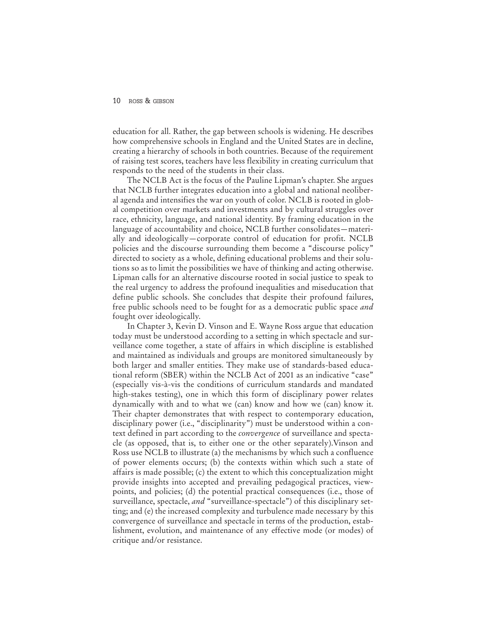education for all. Rather, the gap between schools is widening. He describes how comprehensive schools in England and the United States are in decline, creating a hierarchy of schools in both countries. Because of the requirement of raising test scores, teachers have less flexibility in creating curriculum that responds to the need of the students in their class.

The NCLB Act is the focus of the Pauline Lipman's chapter. She argues that NCLB further integrates education into a global and national neoliberal agenda and intensifies the war on youth of color. NCLB is rooted in global competition over markets and investments and by cultural struggles over race, ethnicity, language, and national identity. By framing education in the language of accountability and choice, NCLB further consolidates—materially and ideologically—corporate control of education for profit. NCLB policies and the discourse surrounding them become a "discourse policy" directed to society as a whole, defining educational problems and their solutions so as to limit the possibilities we have of thinking and acting otherwise. Lipman calls for an alternative discourse rooted in social justice to speak to the real urgency to address the profound inequalities and miseducation that define public schools. She concludes that despite their profound failures, free public schools need to be fought for as a democratic public space *and* fought over ideologically.

In Chapter 3, Kevin D. Vinson and E. Wayne Ross argue that education today must be understood according to a setting in which spectacle and surveillance come together, a state of affairs in which discipline is established and maintained as individuals and groups are monitored simultaneously by both larger and smaller entities. They make use of standards-based educational reform (SBER) within the NCLB Act of 2001 as an indicative "case" (especially vis-à-vis the conditions of curriculum standards and mandated high-stakes testing), one in which this form of disciplinary power relates dynamically with and to what we (can) know and how we (can) know it. Their chapter demonstrates that with respect to contemporary education, disciplinary power (i.e., "disciplinarity") must be understood within a context defined in part according to the *convergence* of surveillance and spectacle (as opposed, that is, to either one or the other separately).Vinson and Ross use NCLB to illustrate (a) the mechanisms by which such a confluence of power elements occurs; (b) the contexts within which such a state of affairs is made possible; (c) the extent to which this conceptualization might provide insights into accepted and prevailing pedagogical practices, viewpoints, and policies; (d) the potential practical consequences (i.e., those of surveillance, spectacle, *and* "surveillance-spectacle") of this disciplinary setting; and (e) the increased complexity and turbulence made necessary by this convergence of surveillance and spectacle in terms of the production, establishment, evolution, and maintenance of any effective mode (or modes) of critique and/or resistance.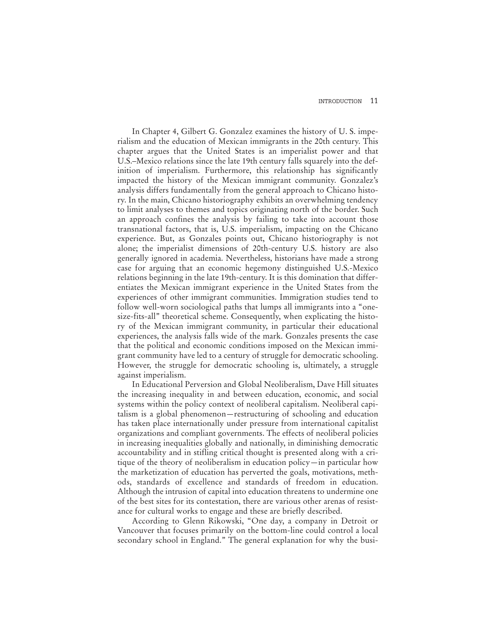In Chapter 4, Gilbert G. Gonzalez examines the history of U. S. imperialism and the education of Mexican immigrants in the 20th century. This chapter argues that the United States is an imperialist power and that U.S.–Mexico relations since the late 19th century falls squarely into the definition of imperialism. Furthermore, this relationship has significantly impacted the history of the Mexican immigrant community. Gonzalez's analysis differs fundamentally from the general approach to Chicano history. In the main, Chicano historiography exhibits an overwhelming tendency to limit analyses to themes and topics originating north of the border. Such an approach confines the analysis by failing to take into account those transnational factors, that is, U.S. imperialism, impacting on the Chicano experience. But, as Gonzales points out, Chicano historiography is not alone; the imperialist dimensions of 20th-century U.S. history are also generally ignored in academia. Nevertheless, historians have made a strong case for arguing that an economic hegemony distinguished U.S.-Mexico relations beginning in the late 19th-century. It is this domination that differentiates the Mexican immigrant experience in the United States from the experiences of other immigrant communities. Immigration studies tend to follow well-worn sociological paths that lumps all immigrants into a "onesize-fits-all" theoretical scheme. Consequently, when explicating the history of the Mexican immigrant community, in particular their educational experiences, the analysis falls wide of the mark. Gonzales presents the case that the political and economic conditions imposed on the Mexican immigrant community have led to a century of struggle for democratic schooling. However, the struggle for democratic schooling is, ultimately, a struggle against imperialism.

In Educational Perversion and Global Neoliberalism, Dave Hill situates the increasing inequality in and between education, economic, and social systems within the policy context of neoliberal capitalism. Neoliberal capitalism is a global phenomenon—restructuring of schooling and education has taken place internationally under pressure from international capitalist organizations and compliant governments. The effects of neoliberal policies in increasing inequalities globally and nationally, in diminishing democratic accountability and in stifling critical thought is presented along with a critique of the theory of neoliberalism in education policy—in particular how the marketization of education has perverted the goals, motivations, methods, standards of excellence and standards of freedom in education. Although the intrusion of capital into education threatens to undermine one of the best sites for its contestation, there are various other arenas of resistance for cultural works to engage and these are briefly described.

According to Glenn Rikowski, "One day, a company in Detroit or Vancouver that focuses primarily on the bottom-line could control a local secondary school in England." The general explanation for why the busi-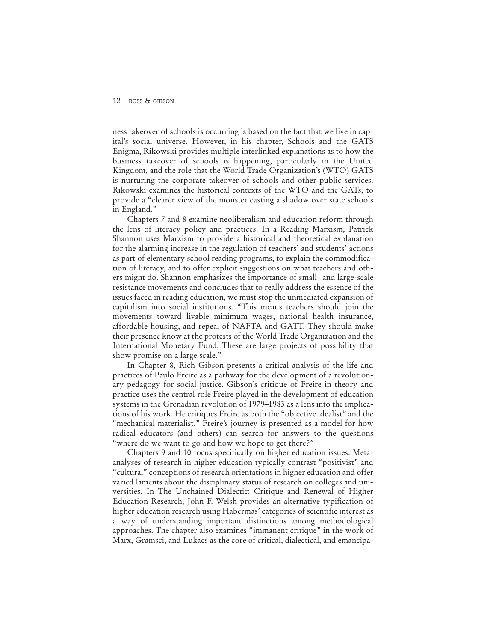ness takeover of schools is occurring is based on the fact that we live in capital's social universe. However, in his chapter, Schools and the GATS Enigma, Rikowski provides multiple interlinked explanations as to how the business takeover of schools is happening, particularly in the United Kingdom, and the role that the World Trade Organization's (WTO) GATS is nurturing the corporate takeover of schools and other public services. Rikowski examines the historical contexts of the WTO and the GATs, to provide a "clearer view of the monster casting a shadow over state schools in England."

Chapters 7 and 8 examine neoliberalism and education reform through the lens of literacy policy and practices. In a Reading Marxism, Patrick Shannon uses Marxism to provide a historical and theoretical explanation for the alarming increase in the regulation of teachers' and students' actions as part of elementary school reading programs, to explain the commodification of literacy, and to offer explicit suggestions on what teachers and others might do. Shannon emphasizes the importance of small- and large-scale resistance movements and concludes that to really address the essence of the issues faced in reading education, we must stop the unmediated expansion of capitalism into social institutions. "This means teachers should join the movements toward livable minimum wages, national health insurance, affordable housing, and repeal of NAFTA and GATT. They should make their presence know at the protests of the World Trade Organization and the International Monetary Fund. These are large projects of possibility that show promise on a large scale."

In Chapter 8, Rich Gibson presents a critical analysis of the life and practices of Paulo Freire as a pathway for the development of a revolutionary pedagogy for social justice. Gibson's critique of Freire in theory and practice uses the central role Freire played in the development of education systems in the Grenadian revolution of 1979–1983 as a lens into the implications of his work. He critiques Freire as both the "objective idealist" and the "mechanical materialist." Freire's journey is presented as a model for how radical educators (and others) can search for answers to the questions "where do we want to go and how we hope to get there?"

Chapters 9 and 10 focus specifically on higher education issues. Metaanalyses of research in higher education typically contrast "positivist" and "cultural" conceptions of research orientations in higher education and offer varied laments about the disciplinary status of research on colleges and universities. In The Unchained Dialectic: Critique and Renewal of Higher Education Research, John F. Welsh provides an alternative typification of higher education research using Habermas' categories of scientific interest as a way of understanding important distinctions among methodological approaches. The chapter also examines "immanent critique" in the work of Marx, Gramsci, and Lukacs as the core of critical, dialectical, and emancipa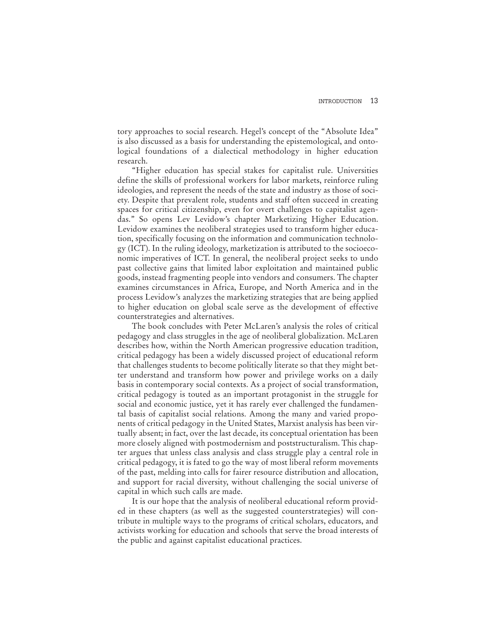tory approaches to social research. Hegel's concept of the "Absolute Idea" is also discussed as a basis for understanding the epistemological, and ontological foundations of a dialectical methodology in higher education research.

"Higher education has special stakes for capitalist rule. Universities define the skills of professional workers for labor markets, reinforce ruling ideologies, and represent the needs of the state and industry as those of society. Despite that prevalent role, students and staff often succeed in creating spaces for critical citizenship, even for overt challenges to capitalist agendas." So opens Lev Levidow's chapter Marketizing Higher Education. Levidow examines the neoliberal strategies used to transform higher education, specifically focusing on the information and communication technology (ICT). In the ruling ideology, marketization is attributed to the socioeconomic imperatives of ICT. In general, the neoliberal project seeks to undo past collective gains that limited labor exploitation and maintained public goods, instead fragmenting people into vendors and consumers. The chapter examines circumstances in Africa, Europe, and North America and in the process Levidow's analyzes the marketizing strategies that are being applied to higher education on global scale serve as the development of effective counterstrategies and alternatives.

The book concludes with Peter McLaren's analysis the roles of critical pedagogy and class struggles in the age of neoliberal globalization. McLaren describes how, within the North American progressive education tradition, critical pedagogy has been a widely discussed project of educational reform that challenges students to become politically literate so that they might better understand and transform how power and privilege works on a daily basis in contemporary social contexts. As a project of social transformation, critical pedagogy is touted as an important protagonist in the struggle for social and economic justice, yet it has rarely ever challenged the fundamental basis of capitalist social relations. Among the many and varied proponents of critical pedagogy in the United States, Marxist analysis has been virtually absent; in fact, over the last decade, its conceptual orientation has been more closely aligned with postmodernism and poststructuralism. This chapter argues that unless class analysis and class struggle play a central role in critical pedagogy, it is fated to go the way of most liberal reform movements of the past, melding into calls for fairer resource distribution and allocation, and support for racial diversity, without challenging the social universe of capital in which such calls are made.

It is our hope that the analysis of neoliberal educational reform provided in these chapters (as well as the suggested counterstrategies) will contribute in multiple ways to the programs of critical scholars, educators, and activists working for education and schools that serve the broad interests of the public and against capitalist educational practices.